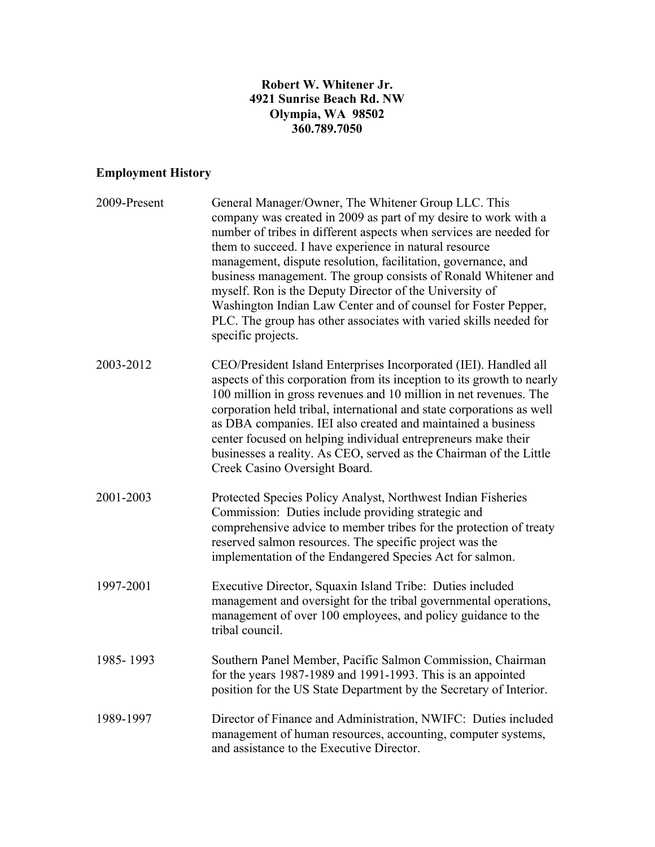### **Robert W. Whitener Jr. 4921 Sunrise Beach Rd. NW Olympia, WA 98502 360.789.7050**

# **Employment History**

| 2009-Present | General Manager/Owner, The Whitener Group LLC. This<br>company was created in 2009 as part of my desire to work with a<br>number of tribes in different aspects when services are needed for<br>them to succeed. I have experience in natural resource<br>management, dispute resolution, facilitation, governance, and<br>business management. The group consists of Ronald Whitener and<br>myself. Ron is the Deputy Director of the University of<br>Washington Indian Law Center and of counsel for Foster Pepper,<br>PLC. The group has other associates with varied skills needed for<br>specific projects. |
|--------------|-------------------------------------------------------------------------------------------------------------------------------------------------------------------------------------------------------------------------------------------------------------------------------------------------------------------------------------------------------------------------------------------------------------------------------------------------------------------------------------------------------------------------------------------------------------------------------------------------------------------|
| 2003-2012    | CEO/President Island Enterprises Incorporated (IEI). Handled all<br>aspects of this corporation from its inception to its growth to nearly<br>100 million in gross revenues and 10 million in net revenues. The<br>corporation held tribal, international and state corporations as well<br>as DBA companies. IEI also created and maintained a business<br>center focused on helping individual entrepreneurs make their<br>businesses a reality. As CEO, served as the Chairman of the Little<br>Creek Casino Oversight Board.                                                                                  |
| 2001-2003    | Protected Species Policy Analyst, Northwest Indian Fisheries<br>Commission: Duties include providing strategic and<br>comprehensive advice to member tribes for the protection of treaty<br>reserved salmon resources. The specific project was the<br>implementation of the Endangered Species Act for salmon.                                                                                                                                                                                                                                                                                                   |
| 1997-2001    | Executive Director, Squaxin Island Tribe: Duties included<br>management and oversight for the tribal governmental operations,<br>management of over 100 employees, and policy guidance to the<br>tribal council.                                                                                                                                                                                                                                                                                                                                                                                                  |
| 1985-1993    | Southern Panel Member, Pacific Salmon Commission, Chairman<br>for the years 1987-1989 and 1991-1993. This is an appointed<br>position for the US State Department by the Secretary of Interior.                                                                                                                                                                                                                                                                                                                                                                                                                   |
| 1989-1997    | Director of Finance and Administration, NWIFC: Duties included<br>management of human resources, accounting, computer systems,<br>and assistance to the Executive Director.                                                                                                                                                                                                                                                                                                                                                                                                                                       |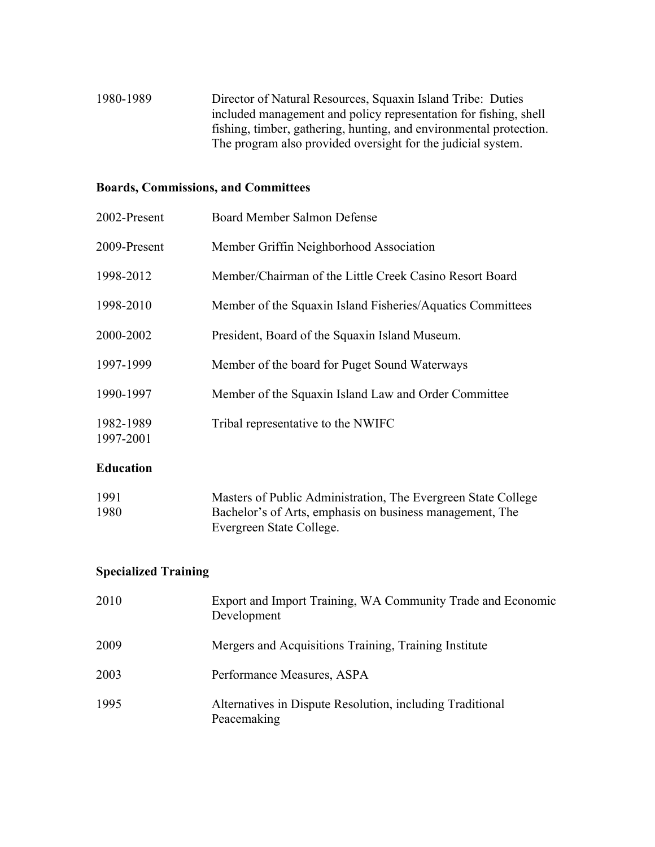1980-1989 Director of Natural Resources, Squaxin Island Tribe: Duties included management and policy representation for fishing, shell fishing, timber, gathering, hunting, and environmental protection. The program also provided oversight for the judicial system.

#### **Boards, Commissions, and Committees**

| 2002-Present           | Board Member Salmon Defense                                |
|------------------------|------------------------------------------------------------|
| 2009-Present           | Member Griffin Neighborhood Association                    |
| 1998-2012              | Member/Chairman of the Little Creek Casino Resort Board    |
| 1998-2010              | Member of the Squaxin Island Fisheries/Aquatics Committees |
| 2000-2002              | President, Board of the Squaxin Island Museum.             |
| 1997-1999              | Member of the board for Puget Sound Waterways              |
| 1990-1997              | Member of the Squaxin Island Law and Order Committee       |
| 1982-1989<br>1997-2001 | Tribal representative to the NWIFC                         |

#### **Education**

| 1991 | Masters of Public Administration, The Evergreen State College |
|------|---------------------------------------------------------------|
| 1980 | Bachelor's of Arts, emphasis on business management, The      |
|      | Evergreen State College.                                      |

#### **Specialized Training**

| 2010 | Export and Import Training, WA Community Trade and Economic<br>Development |
|------|----------------------------------------------------------------------------|
| 2009 | Mergers and Acquisitions Training, Training Institute                      |
| 2003 | Performance Measures, ASPA                                                 |
| 1995 | Alternatives in Dispute Resolution, including Traditional<br>Peacemaking   |